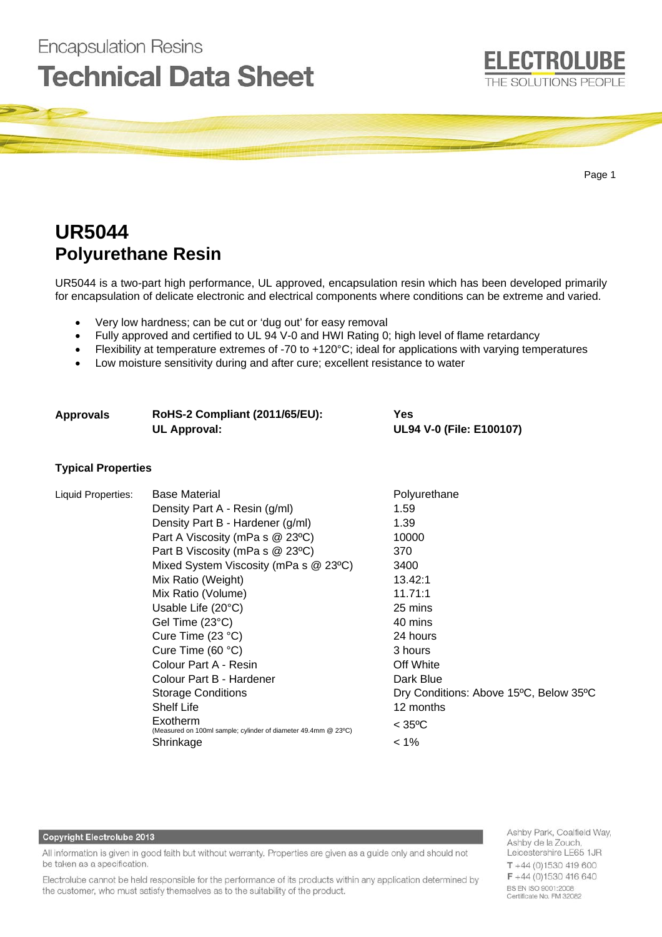

# **UR5044 Polyurethane Resin**

**Encapsulation Resins** 

UR5044 is a two-part high performance, UL approved, encapsulation resin which has been developed primarily for encapsulation of delicate electronic and electrical components where conditions can be extreme and varied.

- Very low hardness; can be cut or 'dug out' for easy removal
- Fully approved and certified to UL 94 V-0 and HWI Rating 0; high level of flame retardancy
- Flexibility at temperature extremes of -70 to +120°C; ideal for applications with varying temperatures
- Low moisture sensitivity during and after cure; excellent resistance to water

| <b>Approvals</b>          | RoHS-2 Compliant (2011/65/EU):<br><b>UL Approval:</b>                                                                                                                                                                                                                                                  | Yes<br>UL94 V-0 (File: E100107)                                                                              |
|---------------------------|--------------------------------------------------------------------------------------------------------------------------------------------------------------------------------------------------------------------------------------------------------------------------------------------------------|--------------------------------------------------------------------------------------------------------------|
| <b>Typical Properties</b> |                                                                                                                                                                                                                                                                                                        |                                                                                                              |
| Liquid Properties:        | <b>Base Material</b><br>Density Part A - Resin (g/ml)<br>Density Part B - Hardener (g/ml)<br>Part A Viscosity (mPa s @ 23°C)<br>Part B Viscosity (mPa s @ 23°C)<br>Mixed System Viscosity (mPa s @ 23°C)<br>Mix Ratio (Weight)<br>Mix Ratio (Volume)<br>Usable Life $(20^{\circ}C)$<br>Gel Time (23°C) | Polyurethane<br>1.59<br>1.39<br>10000<br>370<br>3400<br>13.42:1<br>11.71:1<br>25 mins<br>40 mins<br>24 hours |
|                           | Cure Time $(23 °C)$<br>Cure Time $(60 °C)$<br>Colour Part A - Resin<br>Colour Part B - Hardener<br><b>Storage Conditions</b><br><b>Shelf Life</b><br>Exotherm<br>(Measured on 100ml sample; cylinder of diameter 49.4mm @ 23°C)                                                                        | 3 hours<br>Off White<br>Dark Blue<br>Dry Conditions: Above 15°C, Below 35°C<br>12 months<br>$<$ 35°C         |

Shrinkage < 1%

### **Copyright Electrolube 2013**

All information is given in good faith but without warranty. Properties are given as a guide only and should not be taken as a specification.

Electrolube cannot be held responsible for the performance of its products within any application determined by the customer, who must satisfy themselves as to the suitability of the product.

Ashby Park, Coalfield Way, Ashby de la Zouch, Leicestershire LE65 1JR  $T + 44(0)1530419600$  $F + 44(0)1530416640$ BS EN ISO 9001:2008 Certificate No. FM 32082

**ELECTROLUBE**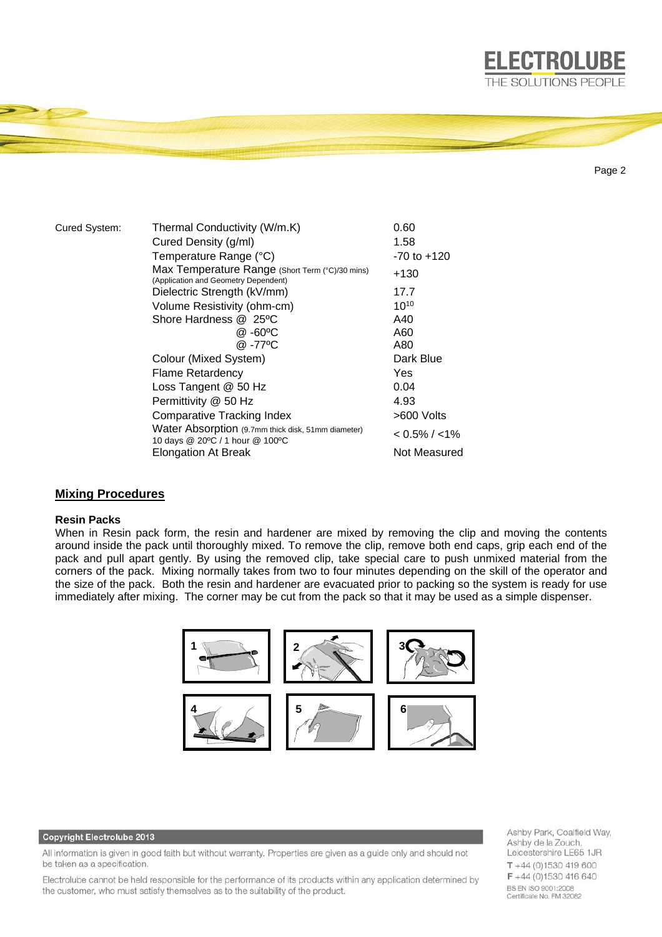

Page 2

**ELECTROLUBE** 

| Cured System: | Thermal Conductivity (W/m.K)                                                            | 0.60              |
|---------------|-----------------------------------------------------------------------------------------|-------------------|
|               | Cured Density (g/ml)                                                                    | 1.58              |
|               | Temperature Range (°C)                                                                  | $-70$ to $+120$   |
|               | Max Temperature Range (Short Term (°C)/30 mins)<br>(Application and Geometry Dependent) | +130              |
|               | Dielectric Strength (kV/mm)                                                             | 17.7              |
|               | Volume Resistivity (ohm-cm)                                                             | $10^{10}$         |
|               | Shore Hardness @ 25°C                                                                   | A40               |
|               | @ -60°C                                                                                 | A60               |
|               | @-77°C                                                                                  | A80               |
|               | Colour (Mixed System)                                                                   | Dark Blue         |
|               | <b>Flame Retardency</b>                                                                 | Yes               |
|               | Loss Tangent @ 50 Hz                                                                    | 0.04              |
|               | Permittivity @ 50 Hz                                                                    | 4.93              |
|               | <b>Comparative Tracking Index</b>                                                       | >600 Volts        |
|               | Water Absorption (9.7mm thick disk, 51mm diameter)<br>10 days @ 20°C / 1 hour @ 100°C   | $< 0.5\% / < 1\%$ |
|               | <b>Elongation At Break</b>                                                              | Not Measured      |

## **Mixing Procedures**

## **Resin Packs**

When in Resin pack form, the resin and hardener are mixed by removing the clip and moving the contents around inside the pack until thoroughly mixed. To remove the clip, remove both end caps, grip each end of the pack and pull apart gently. By using the removed clip, take special care to push unmixed material from the corners of the pack. Mixing normally takes from two to four minutes depending on the skill of the operator and the size of the pack. Both the resin and hardener are evacuated prior to packing so the system is ready for use immediately after mixing. The corner may be cut from the pack so that it may be used as a simple dispenser.



#### Copyright Electrolube 2013

All information is given in good faith but without warranty. Properties are given as a guide only and should not be taken as a specification.

Electrolube cannot be held responsible for the performance of its products within any application determined by the customer, who must satisfy themselves as to the suitability of the product.

Ashby Park, Coalfield Way, Ashby de la Zouch, Leicestershire LE65 1JR  $T + 44(0)1530419600$ F +44 (0)1530 416 640 BS EN ISO 9001:2008 Certificate No. FM 32082